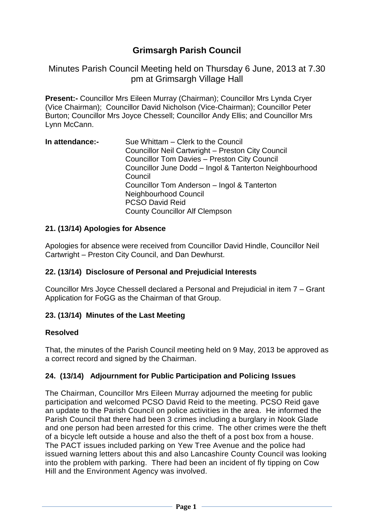# **Grimsargh Parish Council**

Minutes Parish Council Meeting held on Thursday 6 June, 2013 at 7.30 pm at Grimsargh Village Hall

**Present:-** Councillor Mrs Eileen Murray (Chairman); Councillor Mrs Lynda Cryer (Vice Chairman); Councillor David Nicholson (Vice-Chairman); Councillor Peter Burton; Councillor Mrs Joyce Chessell; Councillor Andy Ellis; and Councillor Mrs Lynn McCann.

| In attendance:- | Sue Whittam – Clerk to the Council                     |
|-----------------|--------------------------------------------------------|
|                 | Councillor Neil Cartwright - Preston City Council      |
|                 | <b>Councillor Tom Davies - Preston City Council</b>    |
|                 | Councillor June Dodd - Ingol & Tanterton Neighbourhood |
|                 | Council                                                |
|                 | Councillor Tom Anderson - Ingol & Tanterton            |
|                 | Neighbourhood Council                                  |
|                 | <b>PCSO David Reid</b>                                 |
|                 | <b>County Councillor Alf Clempson</b>                  |

#### **21. (13/14) Apologies for Absence**

Apologies for absence were received from Councillor David Hindle, Councillor Neil Cartwright – Preston City Council, and Dan Dewhurst.

### **22. (13/14) Disclosure of Personal and Prejudicial Interests**

Councillor Mrs Joyce Chessell declared a Personal and Prejudicial in item 7 – Grant Application for FoGG as the Chairman of that Group.

### **23. (13/14) Minutes of the Last Meeting**

#### **Resolved**

That, the minutes of the Parish Council meeting held on 9 May, 2013 be approved as a correct record and signed by the Chairman.

#### **24. (13/14) Adjournment for Public Participation and Policing Issues**

The Chairman, Councillor Mrs Eileen Murray adjourned the meeting for public participation and welcomed PCSO David Reid to the meeting. PCSO Reid gave an update to the Parish Council on police activities in the area. He informed the Parish Council that there had been 3 crimes including a burglary in Nook Glade and one person had been arrested for this crime. The other crimes were the theft of a bicycle left outside a house and also the theft of a post box from a house. The PACT issues included parking on Yew Tree Avenue and the police had issued warning letters about this and also Lancashire County Council was looking into the problem with parking. There had been an incident of fly tipping on Cow Hill and the Environment Agency was involved.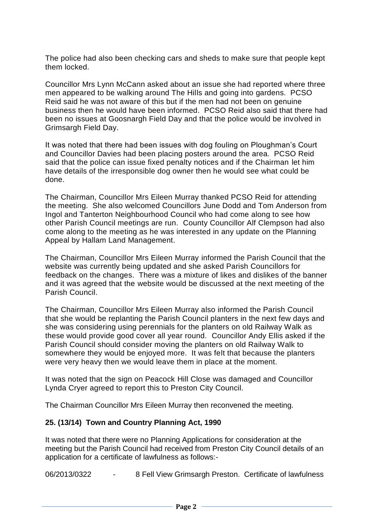The police had also been checking cars and sheds to make sure that people kept them locked.

Councillor Mrs Lynn McCann asked about an issue she had reported where three men appeared to be walking around The Hills and going into gardens. PCSO Reid said he was not aware of this but if the men had not been on genuine business then he would have been informed. PCSO Reid also said that there had been no issues at Goosnargh Field Day and that the police would be involved in Grimsargh Field Day.

It was noted that there had been issues with dog fouling on Ploughman's Court and Councillor Davies had been placing posters around the area. PCSO Reid said that the police can issue fixed penalty notices and if the Chairman let him have details of the irresponsible dog owner then he would see what could be done.

The Chairman, Councillor Mrs Eileen Murray thanked PCSO Reid for attending the meeting. She also welcomed Councillors June Dodd and Tom Anderson from Ingol and Tanterton Neighbourhood Council who had come along to see how other Parish Council meetings are run. County Councillor Alf Clempson had also come along to the meeting as he was interested in any update on the Planning Appeal by Hallam Land Management.

The Chairman, Councillor Mrs Eileen Murray informed the Parish Council that the website was currently being updated and she asked Parish Councillors for feedback on the changes. There was a mixture of likes and dislikes of the banner and it was agreed that the website would be discussed at the next meeting of the Parish Council.

The Chairman, Councillor Mrs Eileen Murray also informed the Parish Council that she would be replanting the Parish Council planters in the next few days and she was considering using perennials for the planters on old Railway Walk as these would provide good cover all year round. Councillor Andy Ellis asked if the Parish Council should consider moving the planters on old Railway Walk to somewhere they would be enjoyed more. It was felt that because the planters were very heavy then we would leave them in place at the moment.

It was noted that the sign on Peacock Hill Close was damaged and Councillor Lynda Cryer agreed to report this to Preston City Council.

The Chairman Councillor Mrs Eileen Murray then reconvened the meeting.

### **25. (13/14) Town and Country Planning Act, 1990**

It was noted that there were no Planning Applications for consideration at the meeting but the Parish Council had received from Preston City Council details of an application for a certificate of lawfulness as follows:-

06/2013/0322 - 8 Fell View Grimsargh Preston. Certificate of lawfulness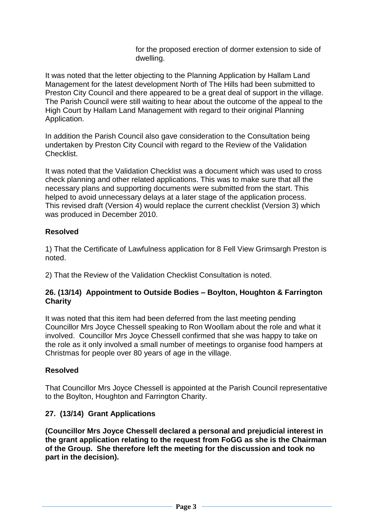for the proposed erection of dormer extension to side of dwelling.

It was noted that the letter objecting to the Planning Application by Hallam Land Management for the latest development North of The Hills had been submitted to Preston City Council and there appeared to be a great deal of support in the village. The Parish Council were still waiting to hear about the outcome of the appeal to the High Court by Hallam Land Management with regard to their original Planning Application.

In addition the Parish Council also gave consideration to the Consultation being undertaken by Preston City Council with regard to the Review of the Validation Checklist.

It was noted that the Validation Checklist was a document which was used to cross check planning and other related applications. This was to make sure that all the necessary plans and supporting documents were submitted from the start. This helped to avoid unnecessary delays at a later stage of the application process. This revised draft (Version 4) would replace the current checklist (Version 3) which was produced in December 2010.

### **Resolved**

1) That the Certificate of Lawfulness application for 8 Fell View Grimsargh Preston is noted.

2) That the Review of the Validation Checklist Consultation is noted.

#### **26. (13/14) Appointment to Outside Bodies – Boylton, Houghton & Farrington Charity**

It was noted that this item had been deferred from the last meeting pending Councillor Mrs Joyce Chessell speaking to Ron Woollam about the role and what it involved. Councillor Mrs Joyce Chessell confirmed that she was happy to take on the role as it only involved a small number of meetings to organise food hampers at Christmas for people over 80 years of age in the village.

### **Resolved**

That Councillor Mrs Joyce Chessell is appointed at the Parish Council representative to the Boylton, Houghton and Farrington Charity.

### **27. (13/14) Grant Applications**

**(Councillor Mrs Joyce Chessell declared a personal and prejudicial interest in the grant application relating to the request from FoGG as she is the Chairman of the Group. She therefore left the meeting for the discussion and took no part in the decision).**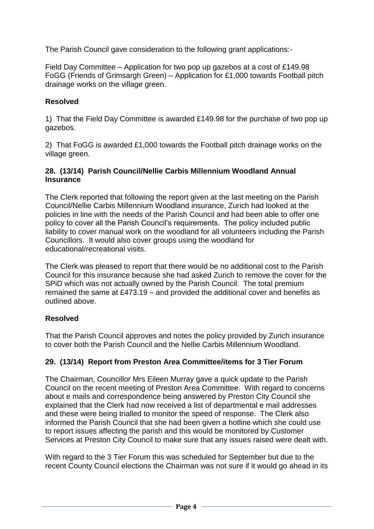The Parish Council gave consideration to the following grant applications:-

Field Day Committee – Application for two pop up gazebos at a cost of £149.98 FoGG (Friends of Grimsargh Green) – Application for £1,000 towards Football pitch drainage works on the village green.

### **Resolved**

1) That the Field Day Committee is awarded £149.98 for the purchase of two pop up gazebos.

2) That FoGG is awarded £1,000 towards the Football pitch drainage works on the village green.

#### **28. (13/14) Parish Council/Nellie Carbis Millennium Woodland Annual Insurance**

The Clerk reported that following the report given at the last meeting on the Parish Council/Nellie Carbis Millennium Woodland insurance, Zurich had looked at the policies in line with the needs of the Parish Council and had been able to offer one policy to cover all the Parish Council's requirements. The policy included public liability to cover manual work on the woodland for all volunteers including the Parish Councillors. It would also cover groups using the woodland for educational/recreational visits.

The Clerk was pleased to report that there would be no additional cost to the Parish Council for this insurance because she had asked Zurich to remove the cover for the SPiD which was not actually owned by the Parish Council. The total premium remained the same at £473.19 – and provided the additional cover and benefits as outlined above.

### **Resolved**

That the Parish Council approves and notes the policy provided by Zurich insurance to cover both the Parish Council and the Nellie Carbis Millennium Woodland.

# **29. (13/14) Report from Preston Area Committee/items for 3 Tier Forum**

The Chairman, Councillor Mrs Eileen Murray gave a quick update to the Parish Council on the recent meeting of Preston Area Committee. With regard to concerns about e mails and correspondence being answered by Preston City Council she explained that the Clerk had now received a list of departmental e mail addresses and these were being trialled to monitor the speed of response. The Clerk also informed the Parish Council that she had been given a hotline which she could use to report issues affecting the parish and this would be monitored by Customer Services at Preston City Council to make sure that any issues raised were dealt with.

With regard to the 3 Tier Forum this was scheduled for September but due to the recent County Council elections the Chairman was not sure if it would go ahead in its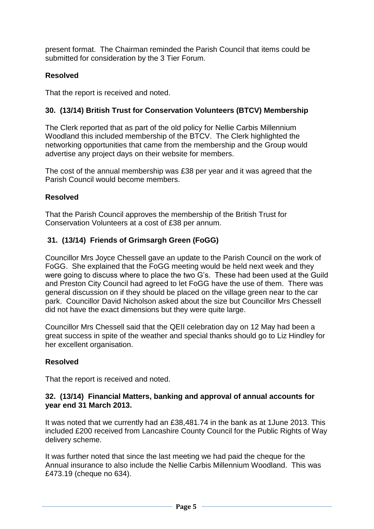present format. The Chairman reminded the Parish Council that items could be submitted for consideration by the 3 Tier Forum.

### **Resolved**

That the report is received and noted.

### **30. (13/14) British Trust for Conservation Volunteers (BTCV) Membership**

The Clerk reported that as part of the old policy for Nellie Carbis Millennium Woodland this included membership of the BTCV. The Clerk highlighted the networking opportunities that came from the membership and the Group would advertise any project days on their website for members.

The cost of the annual membership was £38 per year and it was agreed that the Parish Council would become members.

### **Resolved**

That the Parish Council approves the membership of the British Trust for Conservation Volunteers at a cost of £38 per annum.

### **31. (13/14) Friends of Grimsargh Green (FoGG)**

Councillor Mrs Joyce Chessell gave an update to the Parish Council on the work of FoGG. She explained that the FoGG meeting would be held next week and they were going to discuss where to place the two G's. These had been used at the Guild and Preston City Council had agreed to let FoGG have the use of them. There was general discussion on if they should be placed on the village green near to the car park. Councillor David Nicholson asked about the size but Councillor Mrs Chessell did not have the exact dimensions but they were quite large.

Councillor Mrs Chessell said that the QEII celebration day on 12 May had been a great success in spite of the weather and special thanks should go to Liz Hindley for her excellent organisation.

### **Resolved**

That the report is received and noted.

#### **32. (13/14) Financial Matters, banking and approval of annual accounts for year end 31 March 2013.**

It was noted that we currently had an £38,481.74 in the bank as at 1June 2013. This included £200 received from Lancashire County Council for the Public Rights of Way delivery scheme.

It was further noted that since the last meeting we had paid the cheque for the Annual insurance to also include the Nellie Carbis Millennium Woodland. This was £473.19 (cheque no 634).